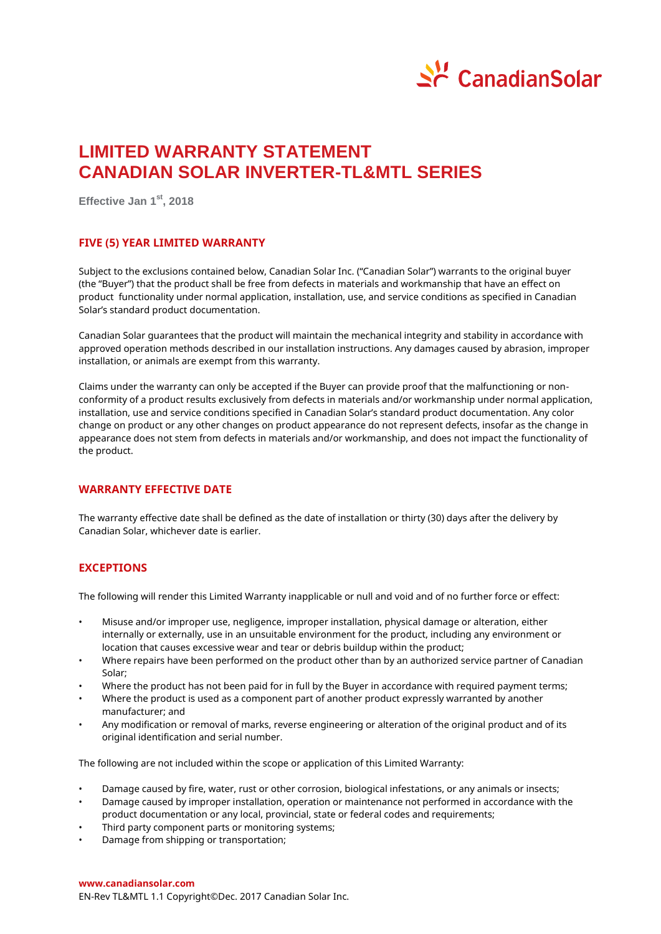

# **LIMITED WARRANTY STATEMENT CANADIAN SOLAR INVERTER-TL&MTL SERIES**

**Effective Jan 1 st, 2018**

## **FIVE (5) YEAR LIMITED WARRANTY**

Subject to the exclusions contained below, Canadian Solar Inc. ("Canadian Solar") warrants to the original buyer (the "Buyer") that the product shall be free from defects in materials and workmanship that have an effect on product functionality under normal application, installation, use, and service conditions as specified in Canadian Solar's standard product documentation.

Canadian Solar guarantees that the product will maintain the mechanical integrity and stability in accordance with approved operation methods described in our installation instructions. Any damages caused by abrasion, improper installation, or animals are exempt from this warranty.

Claims under the warranty can only be accepted if the Buyer can provide proof that the malfunctioning or nonconformity of a product results exclusively from defects in materials and/or workmanship under normal application, installation, use and service conditions specified in Canadian Solar's standard product documentation. Any color change on product or any other changes on product appearance do not represent defects, insofar as the change in appearance does not stem from defects in materials and/or workmanship, and does not impact the functionality of the product.

## **WARRANTY EFFECTIVE DATE**

The warranty effective date shall be defined as the date of installation or thirty (30) days after the delivery by Canadian Solar, whichever date is earlier.

# **EXCEPTIONS**

The following will render this Limited Warranty inapplicable or null and void and of no further force or effect:

- Misuse and/or improper use, negligence, improper installation, physical damage or alteration, either internally or externally, use in an unsuitable environment for the product, including any environment or location that causes excessive wear and tear or debris buildup within the product;
- Where repairs have been performed on the product other than by an authorized service partner of Canadian Solar;
- Where the product has not been paid for in full by the Buyer in accordance with required payment terms;
- Where the product is used as a component part of another product expressly warranted by another manufacturer; and
- Any modification or removal of marks, reverse engineering or alteration of the original product and of its original identification and serial number.

The following are not included within the scope or application of this Limited Warranty:

- Damage caused by fire, water, rust or other corrosion, biological infestations, or any animals or insects;
- Damage caused by improper installation, operation or maintenance not performed in accordance with the product documentation or any local, provincial, state or federal codes and requirements;
- Third party component parts or monitoring systems;
- Damage from shipping or transportation;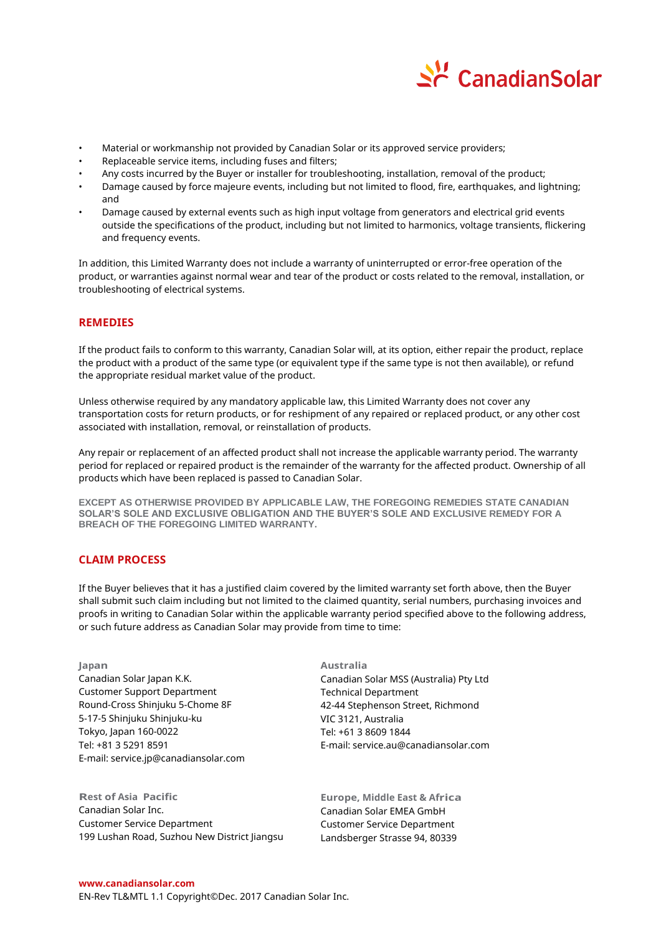

- Material or workmanship not provided by Canadian Solar or its approved service providers;
- Replaceable service items, including fuses and filters;
- Any costs incurred by the Buyer or installer for troubleshooting, installation, removal of the product;
- Damage caused by force majeure events, including but not limited to flood, fire, earthquakes, and lightning; and
- Damage caused by external events such as high input voltage from generators and electrical grid events outside the specifications of the product, including but not limited to harmonics, voltage transients, flickering and frequency events.

In addition, this Limited Warranty does not include a warranty of uninterrupted or error-free operation of the product, or warranties against normal wear and tear of the product or costs related to the removal, installation, or troubleshooting of electrical systems.

# **REMEDIES**

If the product fails to conform to this warranty, Canadian Solar will, at its option, either repair the product, replace the product with a product of the same type (or equivalent type if the same type is not then available), or refund the appropriate residual market value of the product.

Unless otherwise required by any mandatory applicable law, this Limited Warranty does not cover any transportation costs for return products, or for reshipment of any repaired or replaced product, or any other cost associated with installation, removal, or reinstallation of products.

Any repair or replacement of an affected product shall not increase the applicable warranty period. The warranty period for replaced or repaired product is the remainder of the warranty for the affected product. Ownership of all products which have been replaced is passed to Canadian Solar.

**EXCEPT AS OTHERWISE PROVIDED BY APPLICABLE LAW, THE FOREGOING REMEDIES STATE CANADIAN SOLAR'S SOLE AND EXCLUSIVE OBLIGATION AND THE BUYER'S SOLE AND EXCLUSIVE REMEDY FOR A BREACH OF THE FOREGOING LIMITED WARRANTY.**

# **CLAIM PROCESS**

If the Buyer believes that it has a justified claim covered by the limited warranty set forth above, then the Buyer shall submit such claim including but not limited to the claimed quantity, serial numbers, purchasing invoices and proofs in writing to Canadian Solar within the applicable warranty period specified above to the following address, or such future address as Canadian Solar may provide from time to time:

**Japan** Canadian Solar Japan K.K. Customer Support Department Round-Cross Shinjuku 5-Chome 8F 5-17-5 Shinjuku Shinjuku-ku Tokyo, Japan 160-0022 Tel: +81 3 5291 8591 E-mail: service.jp@canadiansolar.com

**Rest of Asia Pacific** Canadian Solar Inc. Customer Service Department 199 Lushan Road, Suzhou New District Jiangsu **Australia** Canadian Solar MSS (Australia) Pty Ltd Technical Department 42-44 Stephenson Street, Richmond VIC 3121, Australia Tel: +61 3 8609 1844 E-mail: service.au@canadiansolar.com

**Europe, Middle East & Africa**  Canadian Solar EMEA GmbH Customer Service Department Landsberger Strasse 94, 80339

#### **www.canadiansolar.com**

EN-Rev TL&MTL 1.1 Copyright© Dec. 2017 Canadian Solar Inc.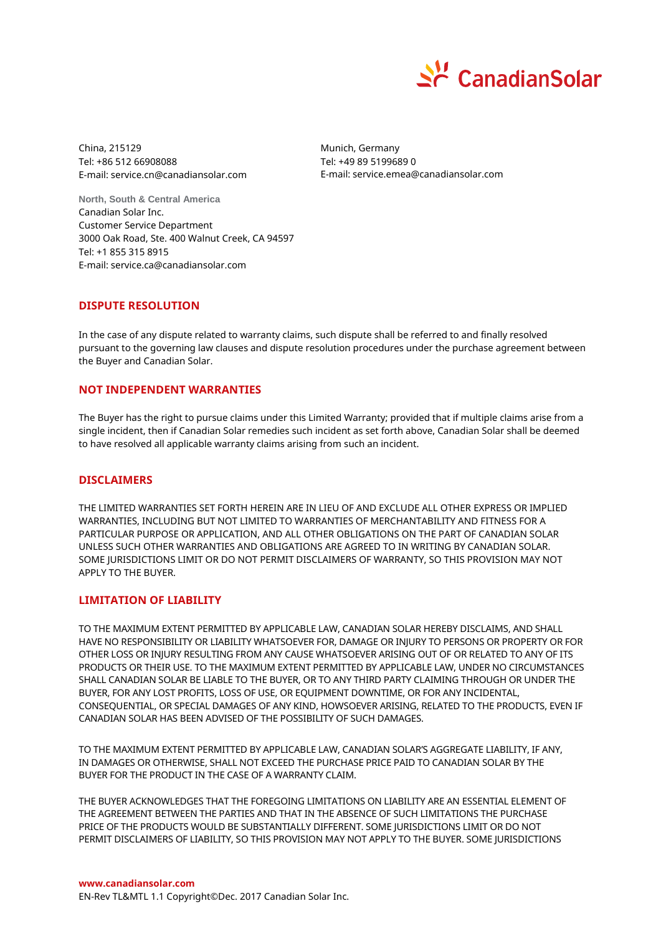

China, 215129 Tel: +86 512 66908088 E-mail: service.cn@canadiansolar.com Munich, Germany Tel: +49 89 5199689 0 E-mail: service.emea@canadiansolar.com

**North, South & Central America** Canadian Solar Inc. Customer Service Department 3000 Oak Road, Ste. 400 Walnut Creek, CA 94597 Tel: +1 855 315 8915 E-mail: service.ca@canadiansolar.com

# **DISPUTE RESOLUTION**

In the case of any dispute related to warranty claims, such dispute shall be referred to and finally resolved pursuant to the governing law clauses and dispute resolution procedures under the purchase agreement between the Buyer and Canadian Solar.

# **NOT INDEPENDENT WARRANTIES**

The Buyer has the right to pursue claims under this Limited Warranty; provided that if multiple claims arise from a single incident, then if Canadian Solar remedies such incident as set forth above, Canadian Solar shall be deemed to have resolved all applicable warranty claims arising from such an incident.

## **DISCLAIMERS**

THE LIMITED WARRANTIES SET FORTH HEREIN ARE IN LIEU OF AND EXCLUDE ALL OTHER EXPRESS OR IMPLIED WARRANTIES, INCLUDING BUT NOT LIMITED TO WARRANTIES OF MERCHANTABILITY AND FITNESS FOR A PARTICULAR PURPOSE OR APPLICATION, AND ALL OTHER OBLIGATIONS ON THE PART OF CANADIAN SOLAR UNLESS SUCH OTHER WARRANTIES AND OBLIGATIONS ARE AGREED TO IN WRITING BY CANADIAN SOLAR. SOME JURISDICTIONS LIMIT OR DO NOT PERMIT DISCLAIMERS OF WARRANTY, SO THIS PROVISION MAY NOT APPLY TO THE BUYER.

## **LIMITATION OF LIABILITY**

TO THE MAXIMUM EXTENT PERMITTED BY APPLICABLE LAW, CANADIAN SOLAR HEREBY DISCLAIMS, AND SHALL HAVE NO RESPONSIBILITY OR LIABILITY WHATSOEVER FOR, DAMAGE OR INJURY TO PERSONS OR PROPERTY OR FOR OTHER LOSS OR INJURY RESULTING FROM ANY CAUSE WHATSOEVER ARISING OUT OF OR RELATED TO ANY OF ITS PRODUCTS OR THEIR USE. TO THE MAXIMUM EXTENT PERMITTED BY APPLICABLE LAW, UNDER NO CIRCUMSTANCES SHALL CANADIAN SOLAR BE LIABLE TO THE BUYER, OR TO ANY THIRD PARTY CLAIMING THROUGH OR UNDER THE BUYER, FOR ANY LOST PROFITS, LOSS OF USE, OR EQUIPMENT DOWNTIME, OR FOR ANY INCIDENTAL, CONSEQUENTIAL, OR SPECIAL DAMAGES OF ANY KIND, HOWSOEVER ARISING, RELATED TO THE PRODUCTS, EVEN IF CANADIAN SOLAR HAS BEEN ADVISED OF THE POSSIBILITY OF SUCH DAMAGES.

TO THE MAXIMUM EXTENT PERMITTED BY APPLICABLE LAW, CANADIAN SOLAR'S AGGREGATE LIABILITY, IF ANY, IN DAMAGES OR OTHERWISE, SHALL NOT EXCEED THE PURCHASE PRICE PAID TO CANADIAN SOLAR BY THE BUYER FOR THE PRODUCT IN THE CASE OF A WARRANTY CLAIM.

THE BUYER ACKNOWLEDGES THAT THE FOREGOING LIMITATIONS ON LIABILITY ARE AN ESSENTIAL ELEMENT OF THE AGREEMENT BETWEEN THE PARTIES AND THAT IN THE ABSENCE OF SUCH LIMITATIONS THE PURCHASE PRICE OF THE PRODUCTS WOULD BE SUBSTANTIALLY DIFFERENT. SOME JURISDICTIONS LIMIT OR DO NOT PERMIT DISCLAIMERS OF LIABILITY, SO THIS PROVISION MAY NOT APPLY TO THE BUYER. SOME JURISDICTIONS